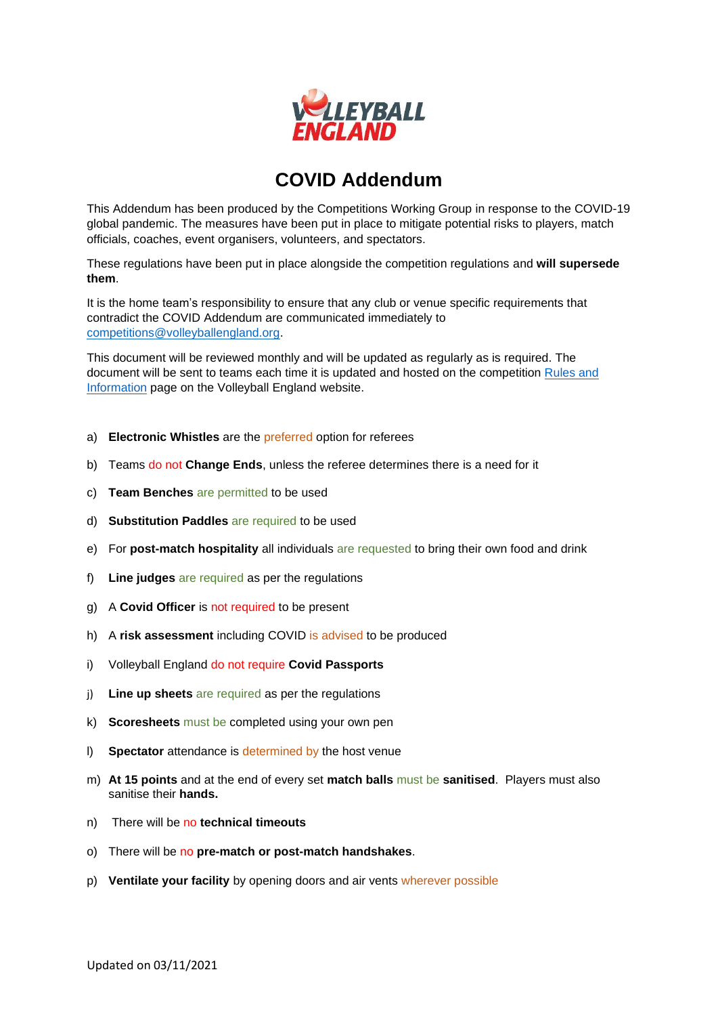

## **COVID Addendum**

This Addendum has been produced by the Competitions Working Group in response to the COVID-19 global pandemic. The measures have been put in place to mitigate potential risks to players, match officials, coaches, event organisers, volunteers, and spectators.

These regulations have been put in place alongside the competition regulations and **will supersede them**.

It is the home team's responsibility to ensure that any club or venue specific requirements that contradict the COVID Addendum are communicated immediately to [competitions@volleyballengland.org.](mailto:competitions@volleyballengland.org)

This document will be reviewed monthly and will be updated as regularly as is required. The document will be sent to teams each time it is updated and hosted on the competition [Rules and](https://www.volleyballengland.org/competitions/national_volleyball_league/rules_and_information)  [Information](https://www.volleyballengland.org/competitions/national_volleyball_league/rules_and_information) page on the Volleyball England website.

- a) **Electronic Whistles** are the preferred option for referees
- b) Teams do not **Change Ends**, unless the referee determines there is a need for it
- c) **Team Benches** are permitted to be used
- d) **Substitution Paddles** are required to be used
- e) For **post-match hospitality** all individuals are requested to bring their own food and drink
- f) **Line judges** are required as per the regulations
- g) A **Covid Officer** is not required to be present
- h) A **risk assessment** including COVID is advised to be produced
- i) Volleyball England do not require **Covid Passports**
- j) **Line up sheets** are required as per the regulations
- k) **Scoresheets** must be completed using your own pen
- l) **Spectator** attendance is determined by the host venue
- m) **At 15 points** and at the end of every set **match balls** must be **sanitised**. Players must also sanitise their **hands.**
- n) There will be no **technical timeouts**
- o) There will be no **pre-match or post-match handshakes**.
- p) **Ventilate your facility** by opening doors and air vents wherever possible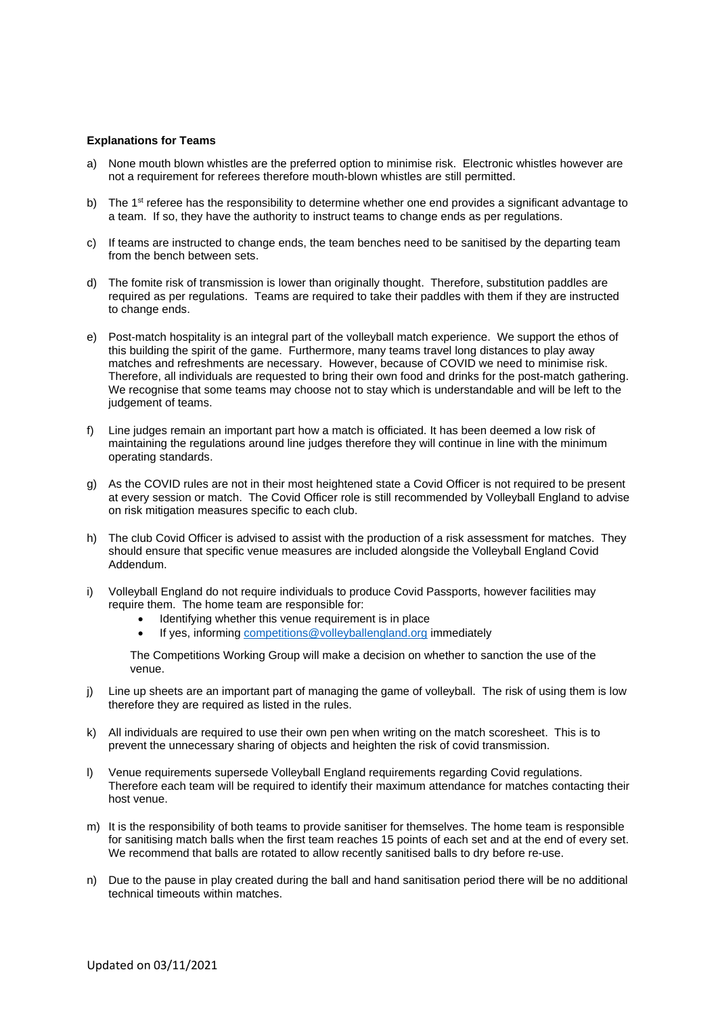## **Explanations for Teams**

- a) None mouth blown whistles are the preferred option to minimise risk. Electronic whistles however are not a requirement for referees therefore mouth-blown whistles are still permitted.
- b) The  $1<sup>st</sup>$  referee has the responsibility to determine whether one end provides a significant advantage to a team. If so, they have the authority to instruct teams to change ends as per regulations.
- c) If teams are instructed to change ends, the team benches need to be sanitised by the departing team from the bench between sets.
- d) The fomite risk of transmission is lower than originally thought. Therefore, substitution paddles are required as per regulations. Teams are required to take their paddles with them if they are instructed to change ends.
- e) Post-match hospitality is an integral part of the volleyball match experience. We support the ethos of this building the spirit of the game. Furthermore, many teams travel long distances to play away matches and refreshments are necessary. However, because of COVID we need to minimise risk. Therefore, all individuals are requested to bring their own food and drinks for the post-match gathering. We recognise that some teams may choose not to stay which is understandable and will be left to the judgement of teams.
- f) Line judges remain an important part how a match is officiated. It has been deemed a low risk of maintaining the regulations around line judges therefore they will continue in line with the minimum operating standards.
- g) As the COVID rules are not in their most heightened state a Covid Officer is not required to be present at every session or match. The Covid Officer role is still recommended by Volleyball England to advise on risk mitigation measures specific to each club.
- h) The club Covid Officer is advised to assist with the production of a risk assessment for matches. They should ensure that specific venue measures are included alongside the Volleyball England Covid Addendum.
- i) Volleyball England do not require individuals to produce Covid Passports, however facilities may require them. The home team are responsible for:
	- Identifying whether this venue requirement is in place
	- If yes, informing [competitions@volleyballengland.org](mailto:competitions@volleyballengland.org) immediately

The Competitions Working Group will make a decision on whether to sanction the use of the venue.

- j) Line up sheets are an important part of managing the game of volleyball. The risk of using them is low therefore they are required as listed in the rules.
- k) All individuals are required to use their own pen when writing on the match scoresheet. This is to prevent the unnecessary sharing of objects and heighten the risk of covid transmission.
- l) Venue requirements supersede Volleyball England requirements regarding Covid regulations. Therefore each team will be required to identify their maximum attendance for matches contacting their host venue.
- m) It is the responsibility of both teams to provide sanitiser for themselves. The home team is responsible for sanitising match balls when the first team reaches 15 points of each set and at the end of every set. We recommend that balls are rotated to allow recently sanitised balls to dry before re-use.
- n) Due to the pause in play created during the ball and hand sanitisation period there will be no additional technical timeouts within matches.